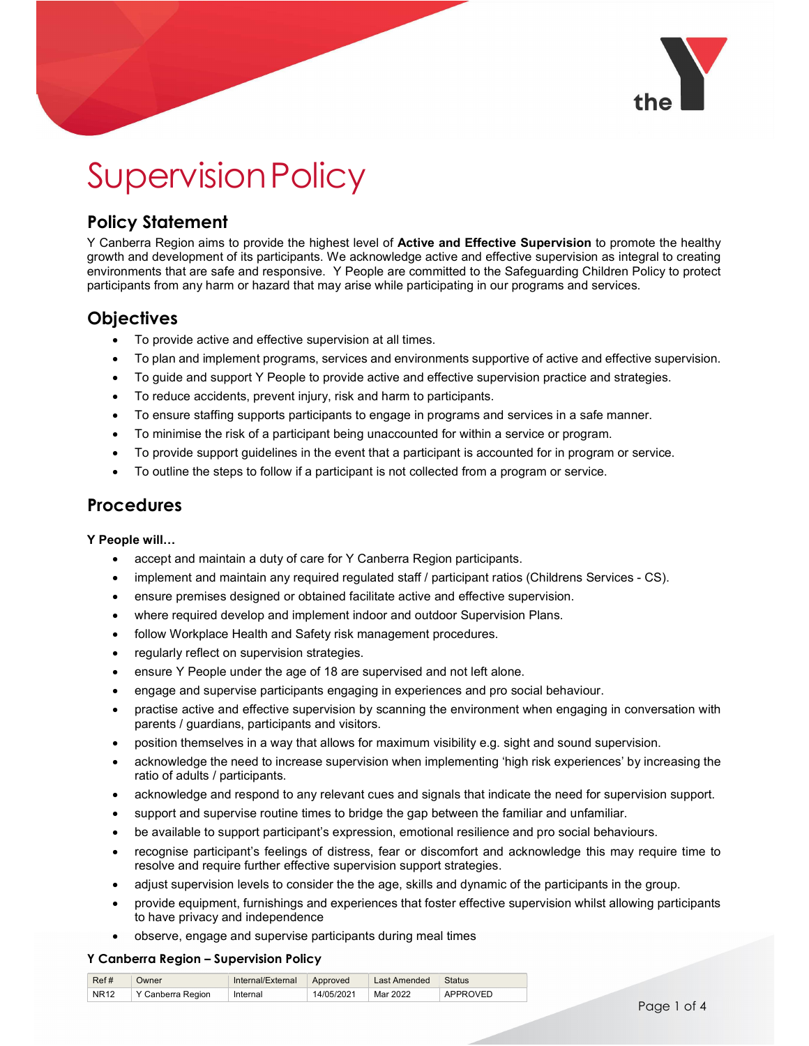

# Supervision Policy

### Policy Statement

Y Canberra Region aims to provide the highest level of **Active and Effective Supervision** to promote the healthy growth and development of its participants. We acknowledge active and effective supervision as integral to creating environments that are safe and responsive. Y People are committed to the Safeguarding Children Policy to protect participants from any harm or hazard that may arise while participating in our programs and services.

## **Objectives**

- To provide active and effective supervision at all times.
- To plan and implement programs, services and environments supportive of active and effective supervision.
- To guide and support Y People to provide active and effective supervision practice and strategies.
- To reduce accidents, prevent injury, risk and harm to participants.
- To ensure staffing supports participants to engage in programs and services in a safe manner.
- To minimise the risk of a participant being unaccounted for within a service or program.
- To provide support guidelines in the event that a participant is accounted for in program or service.
- To outline the steps to follow if a participant is not collected from a program or service.

### **Procedures**

#### Y People will…

- accept and maintain a duty of care for Y Canberra Region participants.
- implement and maintain any required regulated staff / participant ratios (Childrens Services CS).
- ensure premises designed or obtained facilitate active and effective supervision.
- where required develop and implement indoor and outdoor Supervision Plans.
- follow Workplace Health and Safety risk management procedures.
- regularly reflect on supervision strategies.
- ensure Y People under the age of 18 are supervised and not left alone.
- engage and supervise participants engaging in experiences and pro social behaviour.
- practise active and effective supervision by scanning the environment when engaging in conversation with parents / guardians, participants and visitors.
- position themselves in a way that allows for maximum visibility e.g. sight and sound supervision.
- acknowledge the need to increase supervision when implementing 'high risk experiences' by increasing the ratio of adults / participants.
- acknowledge and respond to any relevant cues and signals that indicate the need for supervision support.
- support and supervise routine times to bridge the gap between the familiar and unfamiliar.
- be available to support participant's expression, emotional resilience and pro social behaviours.
- recognise participant's feelings of distress, fear or discomfort and acknowledge this may require time to resolve and require further effective supervision support strategies.
- adjust supervision levels to consider the the age, skills and dynamic of the participants in the group.
- provide equipment, furnishings and experiences that foster effective supervision whilst allowing participants to have privacy and independence
- observe, engage and supervise participants during meal times

#### Y Canberra Region – Supervision Policy

| Ref#        | Owner             | Internal/External | Approved   | Last Amended | <b>Status</b> |
|-------------|-------------------|-------------------|------------|--------------|---------------|
| <b>NR12</b> | Y Canberra Region | Internal          | 14/05/2021 | Mar 2022     | APPROVED      |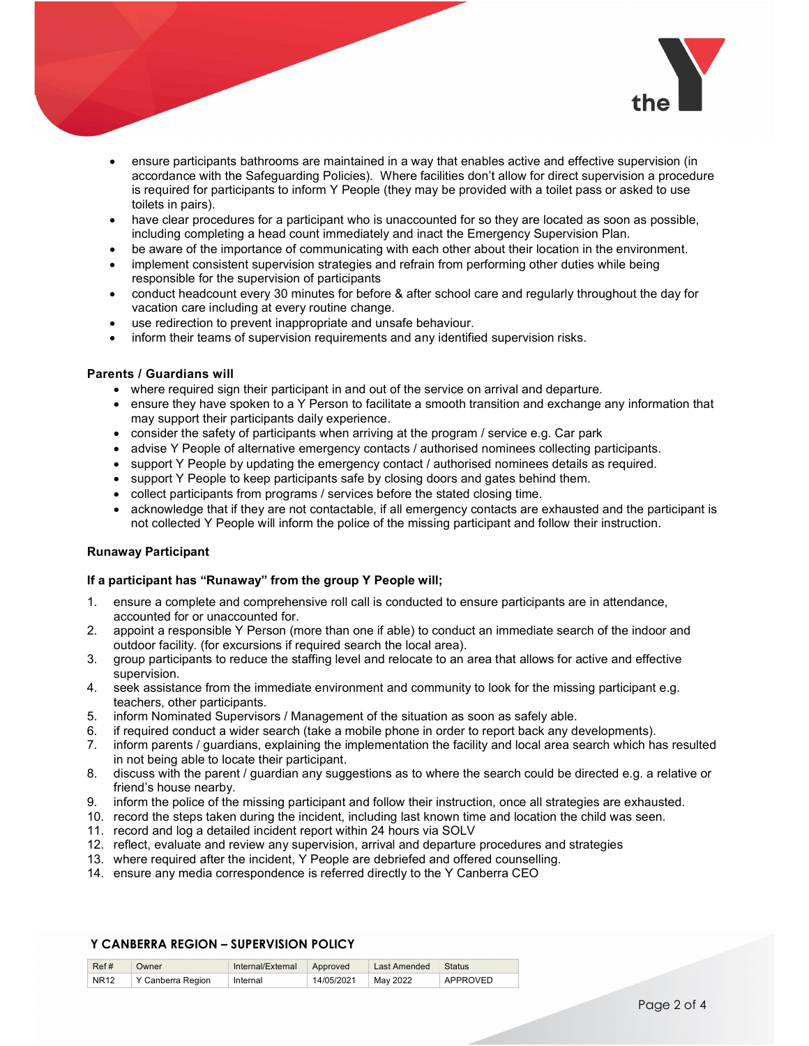

- ensure participants bathrooms are maintained in a way that enables active and effective supervision (in accordance with the Safeguarding Policies). Where facilities don't allow for direct supervision a procedure is required for participants to inform Y People (they may be provided with a toilet pass or asked to use toilets in pairs).
- have clear procedures for a participant who is unaccounted for so they are located as soon as possible, including completing a head count immediately and inact the Emergency Supervision Plan.
- be aware of the importance of communicating with each other about their location in the environment.
- implement consistent supervision strategies and refrain from performing other duties while being responsible for the supervision of participants
- conduct headcount every 30 minutes for before & after school care and regularly throughout the day for vacation care including at every routine change.
- use redirection to prevent inappropriate and unsafe behaviour.
- inform their teams of supervision requirements and any identified supervision risks.

#### Parents / Guardians will

- where required sign their participant in and out of the service on arrival and departure.
- ensure they have spoken to a Y Person to facilitate a smooth transition and exchange any information that may support their participants daily experience.
- consider the safety of participants when arriving at the program / service e.g. Car park
- advise Y People of alternative emergency contacts / authorised nominees collecting participants.
- support Y People by updating the emergency contact / authorised nominees details as required.
- support Y People to keep participants safe by closing doors and gates behind them.
- collect participants from programs / services before the stated closing time.
- acknowledge that if they are not contactable, if all emergency contacts are exhausted and the participant is not collected Y People will inform the police of the missing participant and follow their instruction.

#### Runaway Participant

#### If a participant has "Runaway" from the group Y People will;

- 1. ensure a complete and comprehensive roll call is conducted to ensure participants are in attendance, accounted for or unaccounted for.
- 2. appoint a responsible Y Person (more than one if able) to conduct an immediate search of the indoor and outdoor facility. (for excursions if required search the local area).
- 3. group participants to reduce the staffing level and relocate to an area that allows for active and effective supervision.
- 4. seek assistance from the immediate environment and community to look for the missing participant e.g. teachers, other participants.
- 5. inform Nominated Supervisors / Management of the situation as soon as safely able.
- 6. if required conduct a wider search (take a mobile phone in order to report back any developments).
- 7. inform parents / guardians, explaining the implementation the facility and local area search which has resulted in not being able to locate their participant.
- 8. discuss with the parent / guardian any suggestions as to where the search could be directed e.g. a relative or friend's house nearby.
- 9. inform the police of the missing participant and follow their instruction, once all strategies are exhausted.
- 10. record the steps taken during the incident, including last known time and location the child was seen.
- 11. record and log a detailed incident report within 24 hours via SOLV
- 12. reflect, evaluate and review any supervision, arrival and departure procedures and strategies
- 13. where required after the incident, Y People are debriefed and offered counselling.
- 14. ensure any media correspondence is referred directly to the Y Canberra CEO

#### Y CANBERRA REGION – SUPERVISION POLICY

| Ref#        | Owner             | Internal/External | Approved   | Last Amended | <b>Status</b> |
|-------------|-------------------|-------------------|------------|--------------|---------------|
| <b>NR12</b> | Y Canberra Region | Internal          | 14/05/2021 | May 2022     | APPROVED      |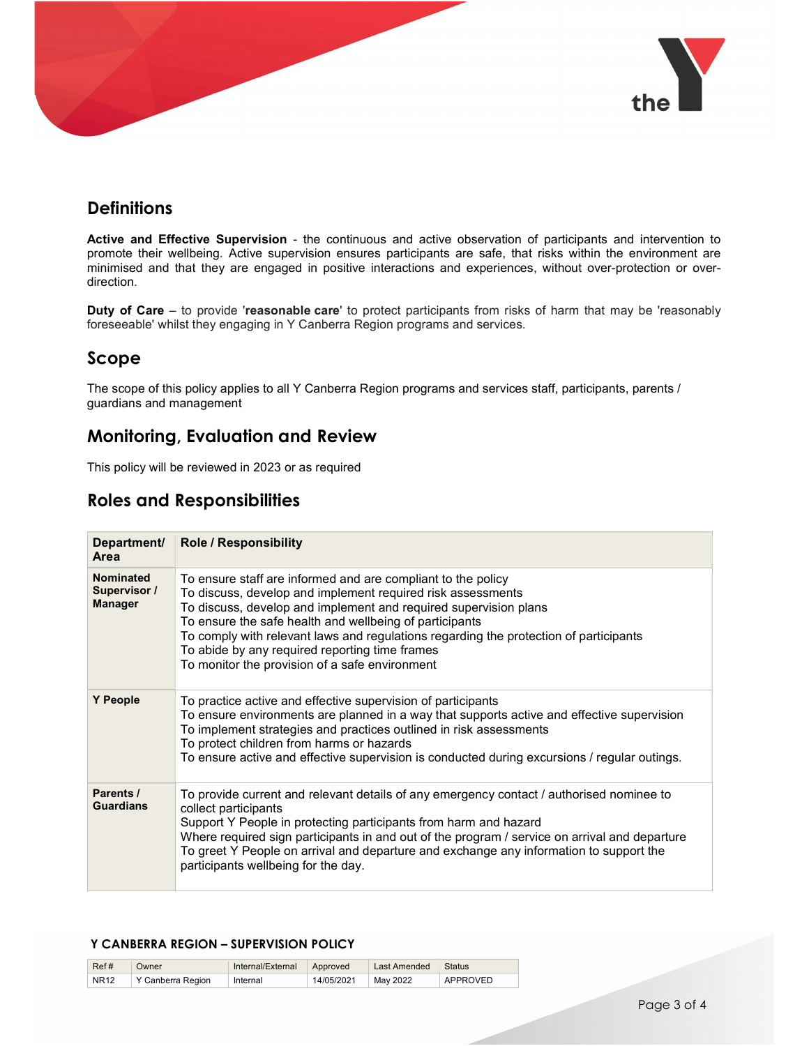

### **Definitions**

Active and Effective Supervision - the continuous and active observation of participants and intervention to promote their wellbeing. Active supervision ensures participants are safe, that risks within the environment are minimised and that they are engaged in positive interactions and experiences, without over-protection or overdirection.

**Duty of Care** – to provide 'reasonable care' to protect participants from risks of harm that may be 'reasonably foreseeable' whilst they engaging in Y Canberra Region programs and services.

### Scope

The scope of this policy applies to all Y Canberra Region programs and services staff, participants, parents / guardians and management

### Monitoring, Evaluation and Review

This policy will be reviewed in 2023 or as required

### Roles and Responsibilities

| Department/<br>Area                         | <b>Role / Responsibility</b>                                                                                                                                                                                                                                                                                                                                                                                                                            |
|---------------------------------------------|---------------------------------------------------------------------------------------------------------------------------------------------------------------------------------------------------------------------------------------------------------------------------------------------------------------------------------------------------------------------------------------------------------------------------------------------------------|
| Nominated<br>Supervisor /<br><b>Manager</b> | To ensure staff are informed and are compliant to the policy<br>To discuss, develop and implement required risk assessments<br>To discuss, develop and implement and required supervision plans<br>To ensure the safe health and wellbeing of participants<br>To comply with relevant laws and regulations regarding the protection of participants<br>To abide by any required reporting time frames<br>To monitor the provision of a safe environment |
| Y People                                    | To practice active and effective supervision of participants<br>To ensure environments are planned in a way that supports active and effective supervision<br>To implement strategies and practices outlined in risk assessments<br>To protect children from harms or hazards<br>To ensure active and effective supervision is conducted during excursions / regular outings.                                                                           |
| Parents /<br><b>Guardians</b>               | To provide current and relevant details of any emergency contact / authorised nominee to<br>collect participants<br>Support Y People in protecting participants from harm and hazard<br>Where required sign participants in and out of the program / service on arrival and departure<br>To greet Y People on arrival and departure and exchange any information to support the<br>participants wellbeing for the day.                                  |

#### Y CANBERRA REGION – SUPERVISION POLICY

| Ref#        | Owner              | Internal/External | Approved   | Amended     | <b>Status</b> |
|-------------|--------------------|-------------------|------------|-------------|---------------|
| <b>NR12</b> | Region<br>:anberra | Internal          | 14/05/2021 | 2022<br>May | APPROVE"      |